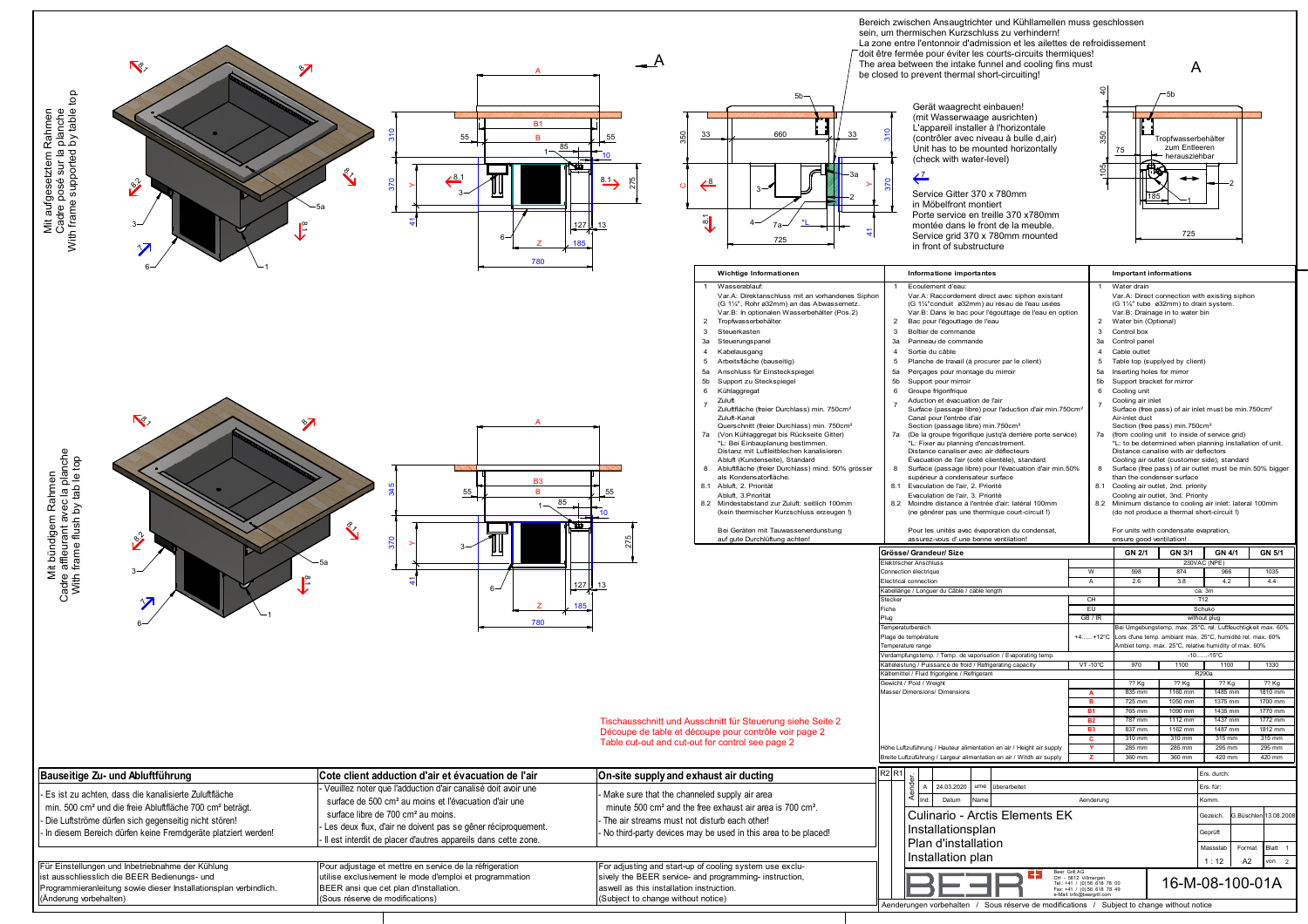| <b>Г</b> е,<br>$\frac{1}{2}$<br>Mit aufgesetztem Rahmen<br>Cadre posé sur la planche<br>With frame supported by table<br>$\frac{6}{3}$<br>ľ≈                                                                                                                                                                                                                                                             | <b>B1</b><br>55<br>85<br>$\frac{1}{6}$ .1<br>127<br>185<br>780                                                                                                                                                                                                                                                                                                                                                                                                                                     | 5 <sub>b</sub><br>660<br>33<br>S<br>33<br>⇐<br>งี<br>13<br>725                                                                                                                                                                                                                                                                                                                                                                                                                                                                                                                                                                                                                                                                                                                                                                                                                                                                                                                                                       | Bereich zwischen Ansaugtrichter und Kühllamellen muss geschlossen<br>sein, um thermischen Kurzschluss zu verhindern!<br>La zone entre l'entonnoir d'admission et les ailettes de refroidissement<br>doit être fermée pour éviter les courts-circuits thermiques!<br>The area between the intake funnel and cooling fins must<br>be closed to prevent thermal short-circuiting!<br>Gerät waagrecht einbauen!<br>(mit Wasserwaage ausrichten)<br>L'appareil installer à l'horizontale<br>(contrôler avec niveau à bulle d,air)<br>Unit has to be mounted horizontally<br>(check with water-level)<br>⇐<br>Service Gitter 370 x 780mm<br>in Möbelfront montiert<br>Porte service en treille 370 x780mm<br>montée dans le front de la meuble.<br>Service grid 370 x 780mm mounted<br>in front of substructure                                                                                                                                                                                                                                                                                                                                                                                                                                                                                                                                                                                                                                                                                                                                                                                                                                                                                                                                     | A<br>ropfwasserbehälter<br>zum Entleeren<br>75<br>herausziehbar<br>725                                                                                                                                                                                                                                                                                                                                                                                                                                                                                                                                                                                                                                                                                                                                                                                                                                                                                                                                                                                                                                                                                                                                                                                                                                                                                                                                                                                                                                                                                                                                                                                                                                                                                                                                            |
|----------------------------------------------------------------------------------------------------------------------------------------------------------------------------------------------------------------------------------------------------------------------------------------------------------------------------------------------------------------------------------------------------------|----------------------------------------------------------------------------------------------------------------------------------------------------------------------------------------------------------------------------------------------------------------------------------------------------------------------------------------------------------------------------------------------------------------------------------------------------------------------------------------------------|----------------------------------------------------------------------------------------------------------------------------------------------------------------------------------------------------------------------------------------------------------------------------------------------------------------------------------------------------------------------------------------------------------------------------------------------------------------------------------------------------------------------------------------------------------------------------------------------------------------------------------------------------------------------------------------------------------------------------------------------------------------------------------------------------------------------------------------------------------------------------------------------------------------------------------------------------------------------------------------------------------------------|-----------------------------------------------------------------------------------------------------------------------------------------------------------------------------------------------------------------------------------------------------------------------------------------------------------------------------------------------------------------------------------------------------------------------------------------------------------------------------------------------------------------------------------------------------------------------------------------------------------------------------------------------------------------------------------------------------------------------------------------------------------------------------------------------------------------------------------------------------------------------------------------------------------------------------------------------------------------------------------------------------------------------------------------------------------------------------------------------------------------------------------------------------------------------------------------------------------------------------------------------------------------------------------------------------------------------------------------------------------------------------------------------------------------------------------------------------------------------------------------------------------------------------------------------------------------------------------------------------------------------------------------------------------------------------------------------------------------------------------------------|-------------------------------------------------------------------------------------------------------------------------------------------------------------------------------------------------------------------------------------------------------------------------------------------------------------------------------------------------------------------------------------------------------------------------------------------------------------------------------------------------------------------------------------------------------------------------------------------------------------------------------------------------------------------------------------------------------------------------------------------------------------------------------------------------------------------------------------------------------------------------------------------------------------------------------------------------------------------------------------------------------------------------------------------------------------------------------------------------------------------------------------------------------------------------------------------------------------------------------------------------------------------------------------------------------------------------------------------------------------------------------------------------------------------------------------------------------------------------------------------------------------------------------------------------------------------------------------------------------------------------------------------------------------------------------------------------------------------------------------------------------------------------------------------------------------------|
|                                                                                                                                                                                                                                                                                                                                                                                                          |                                                                                                                                                                                                                                                                                                                                                                                                                                                                                                    | Wichtige Informationen                                                                                                                                                                                                                                                                                                                                                                                                                                                                                                                                                                                                                                                                                                                                                                                                                                                                                                                                                                                               | Informatione importantes                                                                                                                                                                                                                                                                                                                                                                                                                                                                                                                                                                                                                                                                                                                                                                                                                                                                                                                                                                                                                                                                                                                                                                                                                                                                                                                                                                                                                                                                                                                                                                                                                                                                                                                      | <b>Important informations</b>                                                                                                                                                                                                                                                                                                                                                                                                                                                                                                                                                                                                                                                                                                                                                                                                                                                                                                                                                                                                                                                                                                                                                                                                                                                                                                                                                                                                                                                                                                                                                                                                                                                                                                                                                                                     |
| $\nabla$ <sub><math>\phi</math></sub><br>Mit bündigem Rahmen<br>Cadre affleurant avec la planch<br>With frame flush by tab le top<br>$\frac{2}{3}$                                                                                                                                                                                                                                                       | <b>B3</b><br>55<br>85<br>127<br>6.<br>185<br>780                                                                                                                                                                                                                                                                                                                                                                                                                                                   | Wasserablauf:<br>Var.A: Direktanschluss mit an vorhandenes Siphon<br>(G 1%", Rohr ø32mm) an das Abwassernetz.<br>Var.B: In optionalen Wasserbehälter (Pos.2)<br>2 Tropfwasserbehälter<br>3 Steuerkasten<br>3a Steuerungspanel<br>4 Kabelausgang<br>5 Arbeitsfläche (bauseitig)<br>5a Anschluss für Einsteckspiegel<br>5b Support zu Steckspiegel<br>6 Kühlaggregat<br>Zuluft<br>$\overline{7}$<br>Zuluftfläche (freier Durchlass) min. 750cm <sup>2</sup><br>Zuluft-Kanal<br>Querschnitt (freier Durchlass) min. 750cm <sup>2</sup><br>7a (Von Kühlaggregat bis Rückseite Gitter)<br>*L: Bei Einbauplanung bestimmen.<br>Distanz mit Luftleitblechen kanalisieren<br>Abluft (Kundenseite), Standard<br>8 Abluftfläche (freier Durchlass) mind. 50% grösser<br>als Kondensatorfläche.<br>8.1 Abluft, 2. Priorität<br>Abluft, 3. Priorität<br>8.2 Mindestabstand zur Zuluft: seitlich 100mm<br>(kein thermischer Kurzschluss erzeugen!)<br>Bei Geräten mit Tauwasserverdunstung<br>auf gute Durchlüftung achten!<br>13 | Ecoulement d'eau:<br>Var.A: Raccordement direct avec siphon existant<br>(G 1%"conduit ø32mm) au résau de l'eau usées<br>Var.B: Dans le bac pour l'égouttage de l'eau en option<br>2 Bac pour l'égouttage de l'eau<br>3 Boîtier de commande<br>3a Panneau de commande<br>$\overline{4}$<br>Sortie du câble<br>5 Planche de travail (à procurer par le client)<br>5a Perçages pour montage du mirroir<br>5b Support pour mirroir<br>6 Groupe frigorifrique<br>Aduction et évacuation de l'air<br>Surface (passage libre) pour l'aduction d'air min.750cm <sup>2</sup><br>Canal pour l'entrée d'air<br>Section (passage libre) min.750cm <sup>2</sup><br>7a (De la groupe frigorifique justq'à derrière porte service)<br>*L: Fixer au planning d'encastrement.<br>Distance canaliser avec air déflecteurs<br>Évacuation de l'air (coté clientèle), standard<br>8 Surface (passage libre) pour l'évacuation d'air min.50%<br>supérieur à condensateur surface<br>8.1 Evaculation de l'air, 2. Priorité<br>Evaculation de l'air, 3. Priorité<br>8.2 Moindre distance à l'entrée d'air: latéral 100mm<br>(ne générer pas une thermique court-circuit !)<br>Pour les unités avec évaporation du condensat,<br>assurez-vous d'une bonne ventilation!<br>Grösse/ Grandeur/ Size<br>Elektrischer Anschluss<br>Connection électrique<br>Electrical connection<br>Kabellänge / Longuer du Câble / cable length<br>Stecker<br>Fiche<br>Plug<br>Temperaturbereich<br>Plage de température<br>Temperature range<br>Verdampfungstemp. / Temp. de vaporisation / Evaporating temp<br>Kälteleistung / Puissance de froid / Refrigerating capacity<br>Kältemittel / Fluid frigorigène / Refrigerant<br>Gewicht / Poid / Weight<br>Masse/ Dimensions/ Dimensions | Water drain<br>Var.A: Direct connection with existing siphon<br>(G 1%" tube ø32mm) to drain system.<br>Var.B: Drainage in to water bin<br>2 Water bin (Optional)<br>Control box<br>$\mathbf{3}$<br>3a Control panel<br>$\overline{4}$<br>Cable outlet<br>5 Table top (supplyed by client)<br>5a Inserting holes for mirror<br>5b Support bracket for mirror<br>6 Cooling unit<br>Cooling air inlet<br>Surface (free pass) of air inlet must be min.750cm <sup>2</sup><br>Air-inlet duct<br>Section (free pass) min.750cm <sup>2</sup><br>7a (from cooling unit to inside of service grid)<br>*L: to be determined when planning installation of unit.<br>Distance canalise with air deflectors<br>Cooling air outlet (customer side), standard<br>Surface (free pass) of air outlet must be min.50% bigger<br>-8<br>than the condenser surface<br>8.1 Cooling air outlet, 2nd. priority<br>Cooling air outlet, 3nd. Priority<br>8.2 Minimum distance to cooling air inlet: lateral 100mm<br>(do not produce a thermal short-circuit !)<br>For units with condensate evapration,<br>ensure good ventilation!<br><b>GN 5/1</b><br>GN 2/1<br>GN 3/1<br>GN 4/1<br>230VAC (NPE)<br>W<br>874<br>966<br>1035<br>$\overline{A}$<br>4.2<br>4.4<br>2.6<br>3.8<br>ca. 3m<br>CH<br>T12<br>EU<br>Schuko<br>GB / IR<br>without plug<br>ei Umgebungstemp. max. 25°C, rel. Luftfeuchtigkeit max. 60%<br>+4+12°C<br>Lors d'une temp. ambiant max. 25°C, humidité rel. max. 60%<br>mbiet temp. max. 25°C, relative humidity of max. 60%<br>$-10$ $-15^{\circ}$ C<br>$VT - 10^{\circ}C$<br>1100<br>1100<br>1330<br>970<br>R290a<br>$\overline{22}$ Kg<br>$\overline{??}$ Kg<br>?? Kg<br>?? Kg<br>1810 mm<br>835 mm<br>1160 mm<br>1485 mm<br>A<br>1700 mm<br>725 mm<br>1050 mm<br>1375 mm<br><b>B</b><br>765 mm<br>1435 mn<br>1770 mm |
|                                                                                                                                                                                                                                                                                                                                                                                                          |                                                                                                                                                                                                                                                                                                                                                                                                                                                                                                    | Tischausschnitt und Ausschnitt für Steuerung siehe Seite 2                                                                                                                                                                                                                                                                                                                                                                                                                                                                                                                                                                                                                                                                                                                                                                                                                                                                                                                                                           |                                                                                                                                                                                                                                                                                                                                                                                                                                                                                                                                                                                                                                                                                                                                                                                                                                                                                                                                                                                                                                                                                                                                                                                                                                                                                                                                                                                                                                                                                                                                                                                                                                                                                                                                               | 1772 mm<br><b>B2</b><br>787 mm<br>1112 mm<br>1437 mm<br><b>B3</b><br>1487 mm<br>1812 mm<br>837 mm<br>1162 mm                                                                                                                                                                                                                                                                                                                                                                                                                                                                                                                                                                                                                                                                                                                                                                                                                                                                                                                                                                                                                                                                                                                                                                                                                                                                                                                                                                                                                                                                                                                                                                                                                                                                                                      |
|                                                                                                                                                                                                                                                                                                                                                                                                          |                                                                                                                                                                                                                                                                                                                                                                                                                                                                                                    | Découpe de table et découpe pour contrôle voir page 2<br>Table cut-out and cut-out for control see page 2                                                                                                                                                                                                                                                                                                                                                                                                                                                                                                                                                                                                                                                                                                                                                                                                                                                                                                            |                                                                                                                                                                                                                                                                                                                                                                                                                                                                                                                                                                                                                                                                                                                                                                                                                                                                                                                                                                                                                                                                                                                                                                                                                                                                                                                                                                                                                                                                                                                                                                                                                                                                                                                                               | 315 mm<br>310 mm<br>310 mm<br>315 mm<br><b>C</b>                                                                                                                                                                                                                                                                                                                                                                                                                                                                                                                                                                                                                                                                                                                                                                                                                                                                                                                                                                                                                                                                                                                                                                                                                                                                                                                                                                                                                                                                                                                                                                                                                                                                                                                                                                  |
|                                                                                                                                                                                                                                                                                                                                                                                                          |                                                                                                                                                                                                                                                                                                                                                                                                                                                                                                    |                                                                                                                                                                                                                                                                                                                                                                                                                                                                                                                                                                                                                                                                                                                                                                                                                                                                                                                                                                                                                      | Höhe Luftzuführung / Hauteur alimentation en air / Height air supply<br>Breite Luftzuführung / Largeur alimentation en air / Witdh air supply                                                                                                                                                                                                                                                                                                                                                                                                                                                                                                                                                                                                                                                                                                                                                                                                                                                                                                                                                                                                                                                                                                                                                                                                                                                                                                                                                                                                                                                                                                                                                                                                 | 285 mm<br>285 mm<br>295 mm<br>295 mm<br>$\mathbf{v}$<br>360 mm<br>360 mm<br>420 mm<br>420 mm<br>$\mathbf{z}$                                                                                                                                                                                                                                                                                                                                                                                                                                                                                                                                                                                                                                                                                                                                                                                                                                                                                                                                                                                                                                                                                                                                                                                                                                                                                                                                                                                                                                                                                                                                                                                                                                                                                                      |
|                                                                                                                                                                                                                                                                                                                                                                                                          |                                                                                                                                                                                                                                                                                                                                                                                                                                                                                                    |                                                                                                                                                                                                                                                                                                                                                                                                                                                                                                                                                                                                                                                                                                                                                                                                                                                                                                                                                                                                                      |                                                                                                                                                                                                                                                                                                                                                                                                                                                                                                                                                                                                                                                                                                                                                                                                                                                                                                                                                                                                                                                                                                                                                                                                                                                                                                                                                                                                                                                                                                                                                                                                                                                                                                                                               |                                                                                                                                                                                                                                                                                                                                                                                                                                                                                                                                                                                                                                                                                                                                                                                                                                                                                                                                                                                                                                                                                                                                                                                                                                                                                                                                                                                                                                                                                                                                                                                                                                                                                                                                                                                                                   |
| Bauseitige Zu- und Abluftführung<br>Es ist zu achten, dass die kanalisierte Zuluftfläche<br>min. 500 cm <sup>2</sup> und die freie Abluftfläche 700 cm <sup>2</sup> beträgt.<br>Die Luftströme dürfen sich gegenseitig nicht stören!<br>In diesem Bereich dürfen keine Fremdgeräte platziert werden!<br>Für Einstellungen und Inbetriebnahme der Kühlung<br>ist ausschliesslich die BEER Bedienungs- und | Cote client adduction d'air et évacuation de l'air<br>Veuillez noter que l'adduction d'air canalisé doit avoir une<br>surface de 500 cm <sup>2</sup> au moins et l'évacuation d'air une<br>surface libre de 700 cm <sup>2</sup> au moins.<br>- Les deux flux, d'air ne doivent pas se gêner réciproquement.<br>Il est interdit de placer d'autres appareils dans cette zone.<br>Pour adjustage et mettre en service de la réfrigeration<br>utilise exclusivement le mode d'emploi et programmation | On-site supply and exhaust air ducting<br>Make sure that the channeled supply air area<br>minute 500 cm <sup>2</sup> and the free exhaust air area is 700 cm <sup>2</sup> .<br>The air streams must not disturb each other!<br>No third-party devices may be used in this area to be placed!<br>For adjusting and start-up of cooling system use exclu-                                                                                                                                                                                                                                                                                                                                                                                                                                                                                                                                                                                                                                                              | R2 R1<br>24.03.2020   ume   überarbeitet<br>$\leq$   Ind.  <br>Datum<br>Name<br>Culinario - Arctis Elements EK<br>Installationsplan<br>Plan d'installation<br>Installation plan<br>39                                                                                                                                                                                                                                                                                                                                                                                                                                                                                                                                                                                                                                                                                                                                                                                                                                                                                                                                                                                                                                                                                                                                                                                                                                                                                                                                                                                                                                                                                                                                                         | Ers. durch:<br>Ers. für:<br>Aenderung<br>Komm.<br>G.Büschlen 13.08.2008<br>Gezeich.<br>Geprüft<br>Blatt 1<br>Massstab<br>Format<br>A2<br>1:12<br>von 2<br>Beer Grill AG<br>CH - 5612 Villmerger                                                                                                                                                                                                                                                                                                                                                                                                                                                                                                                                                                                                                                                                                                                                                                                                                                                                                                                                                                                                                                                                                                                                                                                                                                                                                                                                                                                                                                                                                                                                                                                                                   |
|                                                                                                                                                                                                                                                                                                                                                                                                          |                                                                                                                                                                                                                                                                                                                                                                                                                                                                                                    | sively the BEER service- and programming- instruction,                                                                                                                                                                                                                                                                                                                                                                                                                                                                                                                                                                                                                                                                                                                                                                                                                                                                                                                                                               |                                                                                                                                                                                                                                                                                                                                                                                                                                                                                                                                                                                                                                                                                                                                                                                                                                                                                                                                                                                                                                                                                                                                                                                                                                                                                                                                                                                                                                                                                                                                                                                                                                                                                                                                               | 16-M-08-100-01A<br>Tel.: +41 / (0) 56 618 78 00<br>Fax: +41 / (0) 56 618 78 49                                                                                                                                                                                                                                                                                                                                                                                                                                                                                                                                                                                                                                                                                                                                                                                                                                                                                                                                                                                                                                                                                                                                                                                                                                                                                                                                                                                                                                                                                                                                                                                                                                                                                                                                    |
| Programmieranleitung sowie dieser Installationsplan verbindlich.<br>(Änderung vorbehalten)                                                                                                                                                                                                                                                                                                               | BEER ansi que cet plan d'installation.<br>(Sous réserve de modifications)                                                                                                                                                                                                                                                                                                                                                                                                                          | aswell as this installation instruction.<br>(Subject to change without notice)                                                                                                                                                                                                                                                                                                                                                                                                                                                                                                                                                                                                                                                                                                                                                                                                                                                                                                                                       |                                                                                                                                                                                                                                                                                                                                                                                                                                                                                                                                                                                                                                                                                                                                                                                                                                                                                                                                                                                                                                                                                                                                                                                                                                                                                                                                                                                                                                                                                                                                                                                                                                                                                                                                               | e-Mail: info@beergrill.com                                                                                                                                                                                                                                                                                                                                                                                                                                                                                                                                                                                                                                                                                                                                                                                                                                                                                                                                                                                                                                                                                                                                                                                                                                                                                                                                                                                                                                                                                                                                                                                                                                                                                                                                                                                        |
|                                                                                                                                                                                                                                                                                                                                                                                                          |                                                                                                                                                                                                                                                                                                                                                                                                                                                                                                    |                                                                                                                                                                                                                                                                                                                                                                                                                                                                                                                                                                                                                                                                                                                                                                                                                                                                                                                                                                                                                      | Aenderungen vorbehalten / Sous réserve de modifications / Subject to change without notice                                                                                                                                                                                                                                                                                                                                                                                                                                                                                                                                                                                                                                                                                                                                                                                                                                                                                                                                                                                                                                                                                                                                                                                                                                                                                                                                                                                                                                                                                                                                                                                                                                                    |                                                                                                                                                                                                                                                                                                                                                                                                                                                                                                                                                                                                                                                                                                                                                                                                                                                                                                                                                                                                                                                                                                                                                                                                                                                                                                                                                                                                                                                                                                                                                                                                                                                                                                                                                                                                                   |